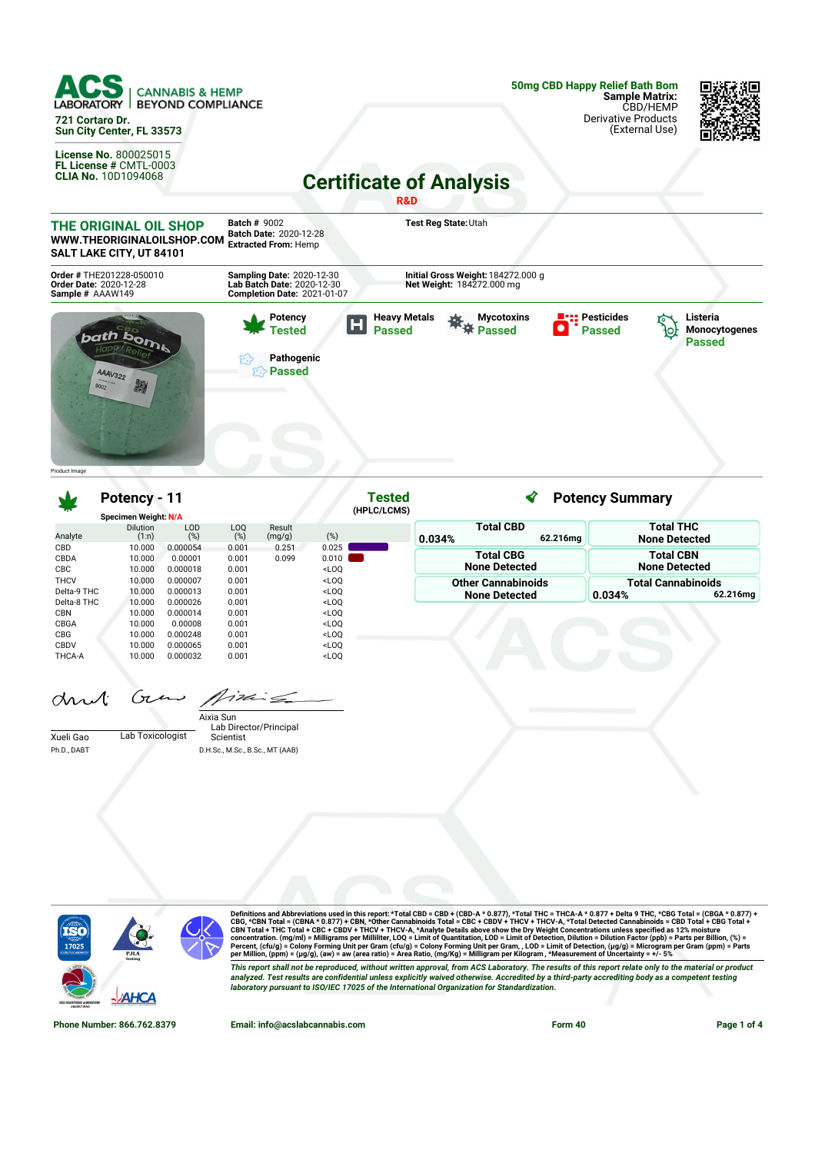

**50mg CBD Happy Relief Bath Bom Sample Matrix:** CBD/HEMP Derivative Products (External Use)

**Potency Summary**



**Certificate of Analysis R&D**



**Potency - 11**

| <b>Total THC</b><br><b>None Detected</b> |
|------------------------------------------|
|                                          |
| <b>Total CBN</b>                         |
| <b>None Detected</b>                     |
| <b>Total Cannabinoids</b>                |
| 62.216mg                                 |
|                                          |
|                                          |
|                                          |
|                                          |
|                                          |
|                                          |
| 0.034%                                   |

**Tested**

|             |                  | Aixia Sun                       |
|-------------|------------------|---------------------------------|
|             |                  | Lab Director/Principal          |
| Xueli Gao   | Lab Toxicologist | Scientist                       |
| Ph.D., DABT |                  | D.H.Sc., M.Sc., B.Sc., MT (AAB) |



Definitions and Abbreviations used in this report: \*Total CBD = CBD + (CBD-A \* 0.877), \*Total THC = THCA-A \* 0.877 + Delta 9 THC, \*CBG Total = (CBGA \* 0.877) +<br>CBG, \*CBN Total = (CBNA \* 0.877) + CBN, \*Other Cannabinois To This report shall not be reproduced, without written approval, from ACS Laboratory. The results of this report relate only to the material or product<br>analyzed. Test results are confidential unless explicitly waived otherwi *laboratory pursuant to ISO/IEC 17025 of the International Organization for Standardization.*

**Phone Number: 866.762.8379 Email: info@acslabcannabis.com Form 40 Page 1 of 4**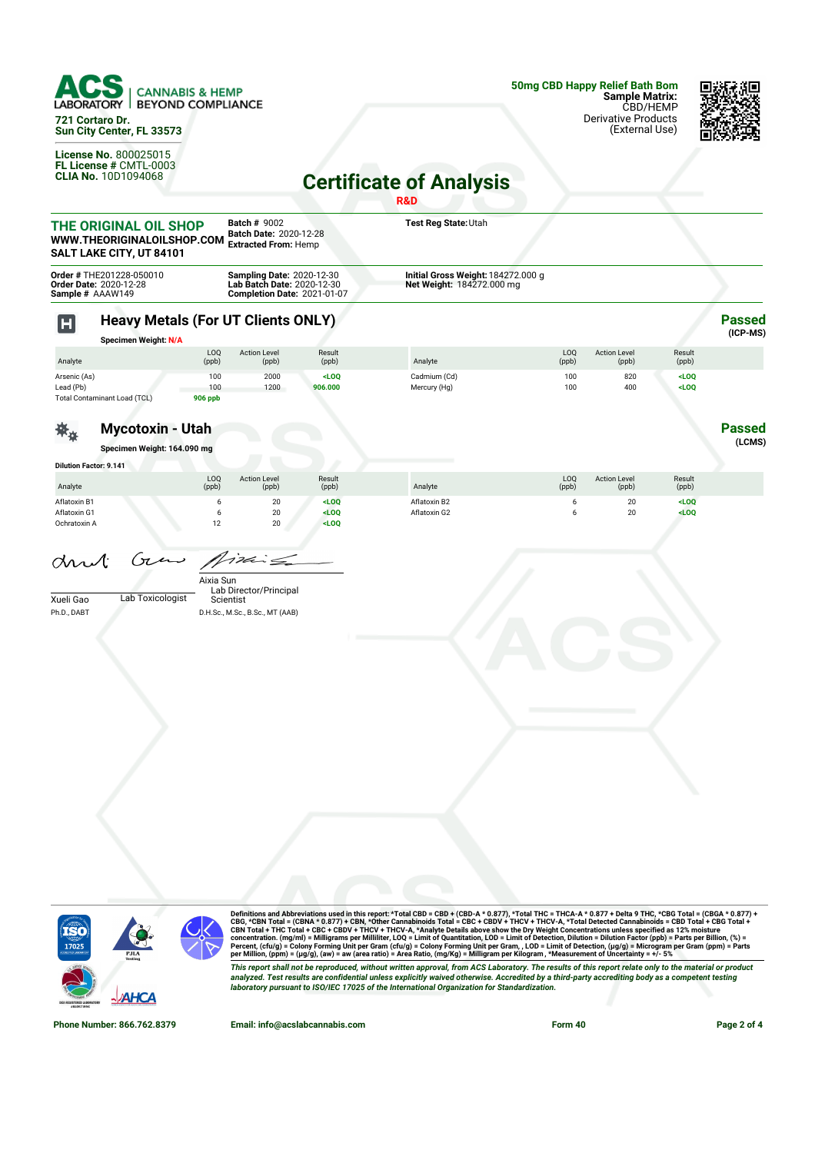

**721 Cortaro Dr. Sun City Center, FL 33573**

**License No.** 800025015 **FL License #** CMTL-0003 **CLIA No.** 10D1094068



## **Certificate of Analysis**

|                                              |                                                                                 |                              |                                                                                                      |                           | R&D                                                             |              |                              |                    |                           |
|----------------------------------------------|---------------------------------------------------------------------------------|------------------------------|------------------------------------------------------------------------------------------------------|---------------------------|-----------------------------------------------------------------|--------------|------------------------------|--------------------|---------------------------|
|                                              | THE ORIGINAL OIL SHOP<br>WWW.THEORIGINALOILSHOP.COM<br>SALT LAKE CITY, UT 84101 |                              | <b>Batch # 9002</b><br>Batch Date: 2020-12-28<br><b>Extracted From: Hemp</b>                         |                           | Test Reg State: Utah                                            |              |                              |                    |                           |
| Sample # AAAW149                             | Order # THE201228-050010<br>Order Date: 2020-12-28                              |                              | <b>Sampling Date: 2020-12-30</b><br>Lab Batch Date: 2020-12-30<br><b>Completion Date: 2021-01-07</b> |                           | Initial Gross Weight: 184272.000 g<br>Net Weight: 184272.000 mg |              |                              |                    |                           |
| $\mathbf H$                                  | <b>Heavy Metals (For UT Clients ONLY)</b><br><b>Specimen Weight: N/A</b>        |                              |                                                                                                      |                           |                                                                 |              |                              |                    | <b>Passed</b><br>(ICP-MS) |
| Analyte                                      |                                                                                 | LOQ<br>(ppb)                 | <b>Action Level</b><br>(ppb)                                                                         | Result<br>(ppb)           | Analyte                                                         | LOQ<br>(ppb) | <b>Action Level</b><br>(ppb) | Result<br>(ppb)    |                           |
| Arsenic (As)<br>Lead (Pb)                    | Total Contaminant Load (TCL)                                                    | 100<br>100<br><b>906 ppb</b> | 2000<br>1200                                                                                         | $<$ LOQ<br>906.000        | Cadmium (Cd)<br>Mercury (Hg)                                    | 100<br>100   | 820<br>400                   | $<$ LOQ<br>$<$ LOQ |                           |
|                                              | <b>Mycotoxin - Utah</b><br>Specimen Weight: 164.090 mg                          |                              |                                                                                                      |                           |                                                                 |              |                              |                    | <b>Passed</b><br>(LCMS)   |
| <b>Dilution Factor: 9.141</b>                |                                                                                 |                              |                                                                                                      |                           |                                                                 |              |                              |                    |                           |
| Analyte                                      |                                                                                 | LOQ<br>(ppb)                 | <b>Action Level</b><br>(ppb)                                                                         | Result<br>(ppb)           | Analyte                                                         | LOQ<br>(ppb) | <b>Action Level</b><br>(ppb) | Result<br>(ppb)    |                           |
| Aflatoxin B1<br>Aflatoxin G1<br>Ochratoxin A |                                                                                 | 6<br>6<br>12                 | 20<br>20<br>20                                                                                       | $<$ LOQ<br>LOO<br>$<$ LOQ | Aflatoxin B2<br>Aflatoxin G2                                    | 6<br>6       | 20<br>20                     | $<$ LOQ<br>LOO     |                           |
| Mul.<br>Xueli Gao<br>Ph.D., DABT             | Gen<br>Lab Toxicologist                                                         | Aixia Sun<br>Scientist       | i<br>Lab Director/Principal<br>D.H.Sc., M.Sc., B.Sc., MT (AAB)                                       |                           |                                                                 |              |                              |                    |                           |
|                                              |                                                                                 |                              |                                                                                                      |                           |                                                                 |              |                              |                    |                           |



Definitions and Abbreviations used in this report: \*Total CBD = CBD + (CBD-A \* 0.877), \*Total THC = THCA-A \* 0.877 + Delta 9 THC, \*CBG Total = (CBGA \* 0.877) +<br>CBG, \*CBN Total = (CBNA \* 0.877) + CBN, \*Other Cannabinois To This report shall not be reproduced, without written approval, from ACS Laboratory. The results of this report relate only to the material or product<br>analyzed. Test results are confidential unless explicitly waived otherwi

**Phone Number: 866.762.8379 Email: info@acslabcannabis.com Form 40 Page 2 of 4**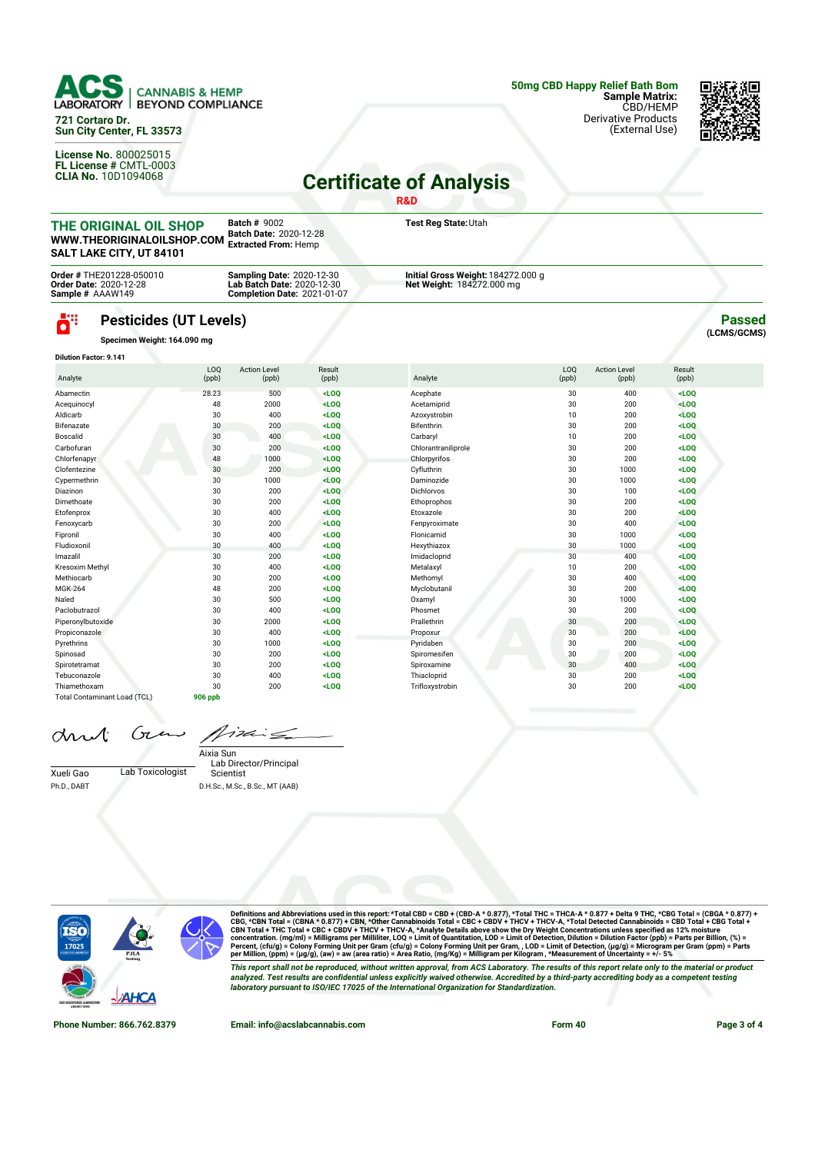

**721 Cortaro Dr. Sun City Center, FL 33573**

**License No.** 800025015 **FL License #** CMTL-0003 **CLIA No.** 10D1094068



## **Certificate of Analysis**

|                                                                                 |                                                                               |                                                                              |                                                                  | <b>R&amp;D</b>                                                  |                         |                              |                 |                              |
|---------------------------------------------------------------------------------|-------------------------------------------------------------------------------|------------------------------------------------------------------------------|------------------------------------------------------------------|-----------------------------------------------------------------|-------------------------|------------------------------|-----------------|------------------------------|
| THE ORIGINAL OIL SHOP<br>WWW.THEORIGINALOILSHOP.COM<br>SALT LAKE CITY, UT 84101 |                                                                               | <b>Batch # 9002</b><br>Batch Date: 2020-12-28<br><b>Extracted From: Hemp</b> |                                                                  | Test Reg State: Utah                                            |                         |                              |                 |                              |
|                                                                                 | Order # THE201228-050010<br><b>Order Date: 2020-12-28</b><br>Sample # AAAW149 | <b>Sampling Date: 2020-12-30</b>                                             | Lab Batch Date: 2020-12-30<br><b>Completion Date: 2021-01-07</b> | Initial Gross Weight: 184272.000 g<br>Net Weight: 184272.000 mg |                         |                              |                 |                              |
| ö"                                                                              | <b>Pesticides (UT Levels)</b><br>Specimen Weight: 164.090 mg                  |                                                                              |                                                                  |                                                                 |                         |                              |                 | <b>Passed</b><br>(LCMS/GCMS) |
| <b>Dilution Factor: 9.141</b>                                                   |                                                                               |                                                                              |                                                                  |                                                                 |                         |                              |                 |                              |
| Analyte                                                                         | L <sub>0</sub><br>(ppb)                                                       | <b>Action Level</b><br>(ppb)                                                 | Result<br>(ppb)                                                  | Analyte                                                         | L <sub>0</sub><br>(ppb) | <b>Action Level</b><br>(ppb) | Result<br>(ppb) |                              |
| Abamectin                                                                       | 28.23                                                                         | 500                                                                          | $<$ LOO                                                          | Acephate                                                        | 30                      | 400                          | $<$ LOO         |                              |
| Acequinocyl                                                                     |                                                                               | 2000<br>48                                                                   | $<$ LOO                                                          | Acetamiprid                                                     | 30                      | 200                          | LOO             |                              |
| Aldicarb                                                                        |                                                                               | 30<br>400                                                                    | $<$ LOQ                                                          | Azoxystrobin                                                    | 10                      | 200                          | $<$ LOO         |                              |
| Bifenazate                                                                      |                                                                               | 30<br>200                                                                    | $<$ LOO                                                          | <b>Bifenthrin</b>                                               | 30                      | 200                          | $<$ LOO         |                              |
| Boscalid                                                                        |                                                                               | 30<br>400                                                                    | $<$ LOO                                                          | Carbaryl                                                        | 10                      | 200                          | $<$ LOO         |                              |
| Carbofuran                                                                      |                                                                               | 30<br>200                                                                    | $<$ LOQ                                                          | Chlorantraniliprole                                             | 30                      | 200                          | $<$ LOQ         |                              |
| Chlorfenapyr                                                                    |                                                                               | 48<br>1000                                                                   | $<$ LOO                                                          | Chlorpyrifos                                                    | 30                      | 200                          | $<$ LOO         |                              |
| Clofentezine                                                                    |                                                                               | 30<br>200                                                                    | $<$ LOQ                                                          | Cyfluthrin                                                      | 30                      | 1000                         | $<$ LOQ         |                              |
| Cypermethrin                                                                    |                                                                               | 30<br>1000                                                                   | $<$ LOO                                                          | Daminozide                                                      | 30                      | 1000                         | $<$ LOO         |                              |
| Diazinon                                                                        |                                                                               | 30<br>200                                                                    | $<$ LOO                                                          | <b>Dichlorvos</b>                                               | 30                      | 100                          | $<$ LOO         |                              |
| Dimethoate                                                                      |                                                                               | 30<br>200                                                                    | $<$ LOQ                                                          | Ethoprophos                                                     | 30                      | 200                          | $<$ LOQ         |                              |
| Etofenprox                                                                      |                                                                               | 30<br>400                                                                    | $<$ LOO                                                          | Etoxazole                                                       | 30                      | 200                          | $<$ LOO         |                              |
| Fenoxycarb                                                                      |                                                                               | 30<br>200                                                                    | $<$ LOO                                                          | Fenpyroximate                                                   | 30                      | 400                          | $<$ LOQ         |                              |

| Dimethoate                   | 30      | <b>ZUU</b> | <luq< th=""><th>Ethoprophos</th><th>30</th><th>200</th><th><luq< th=""></luq<></th></luq<>   | Ethoprophos     | 30 | 200  | <luq< th=""></luq<> |
|------------------------------|---------|------------|----------------------------------------------------------------------------------------------|-----------------|----|------|---------------------|
| Etofenprox                   | 30      | 400        | $<$ LOQ                                                                                      | Etoxazole       | 30 | 200  | <loq< td=""></loq<> |
| Fenoxycarb                   | 30      | 200        | $<$ LOQ                                                                                      | Fenpyroximate   | 30 | 400  | LOO                 |
| Fipronil                     | 30      | 400        | $<$ LOQ                                                                                      | Flonicamid      | 30 | 1000 | <loq< td=""></loq<> |
| Fludioxonil                  | 30      | 400        | $<$ LOO                                                                                      | Hexythiazox     | 30 | 1000 | LOO                 |
| Imazalil                     | 30      | 200        | $<$ LOO                                                                                      | Imidacloprid    | 30 | 400  | LOO                 |
| Kresoxim Methyl              | 30      | 400        | <loq< td=""><td>Metalaxyl</td><td>10</td><td>200</td><td><loq< td=""></loq<></td></loq<>     | Metalaxyl       | 10 | 200  | <loq< td=""></loq<> |
| Methiocarb                   | 30      | 200        | <loq< td=""><td>Methomyl</td><td>30</td><td>400</td><td>LOO</td></loq<>                      | Methomyl        | 30 | 400  | LOO                 |
| <b>MGK-264</b>               | 48      | 200        | <loq< td=""><td>Myclobutanil</td><td>30</td><td>200</td><td><math>&lt;</math>LOQ</td></loq<> | Myclobutanil    | 30 | 200  | $<$ LOQ             |
| Naled                        | 30      | 500        | LOO                                                                                          | Oxamyl          | 30 | 1000 | LOO                 |
| Paclobutrazol                | 30      | 400        | LOO                                                                                          | Phosmet         | 30 | 200  | LOO                 |
| Piperonylbutoxide            | 30      | 2000       | LOO                                                                                          | Prallethrin     | 30 | 200  | LOO                 |
| Propiconazole                | 30      | 400        | LOO                                                                                          | Propoxur        | 30 | 200  | LOO                 |
| Pyrethrins                   | 30      | 1000       | <loq< td=""><td>Pyridaben</td><td>30</td><td>200</td><td><math>&lt;</math>LOQ</td></loq<>    | Pyridaben       | 30 | 200  | $<$ LOQ             |
| Spinosad                     | 30      | 200        | <loq< td=""><td>Spiromesifen</td><td>30</td><td>200</td><td><loq< td=""></loq<></td></loq<>  | Spiromesifen    | 30 | 200  | <loq< td=""></loq<> |
| Spirotetramat                | 30      | 200        | $<$ LOQ                                                                                      | Spiroxamine     | 30 | 400  | <loq< td=""></loq<> |
| Tebuconazole                 | 30      | 400        | $<$ LOQ                                                                                      | Thiacloprid     | 30 | 200  | $<$ LOQ             |
| Thiamethoxam                 | 30      | 200        | $<$ LOQ                                                                                      | Trifloxystrobin | 30 | 200  | LOO                 |
| Total Contaminant Load (TCL) | 906 ppb |            |                                                                                              |                 |    |      |                     |

drut

 $722$  $\epsilon$ 

Xueli Gao Lab Toxicologist Ph.D., DABT

Lab Director/Principal Scientist Aixia Sun D.H.Sc., M.Sc., B.Sc., MT (AAB)



Gι

Definitions and Abbreviations used in this report: \*Total CBD = CBD + (CBD-A \* 0.877), \*Total THC = THCA-A \* 0.877 + Delta 9 THC, \*CBG Total = (CBGA \* 0.877) +<br>CBG, \*CBN Total = (CBNA \* 0.877) + CBN, \*Other Cannabinois To This report shall not be reproduced, without written approval, from ACS Laboratory. The results of this report relate only to the material or product<br>analyzed. Test results are confidential unless explicitly waived otherwi *laboratory pursuant to ISO/IEC 17025 of the International Organization for Standardization.*

**Phone Number: 866.762.8379 Email: info@acslabcannabis.com Form 40 Page 3 of 4**